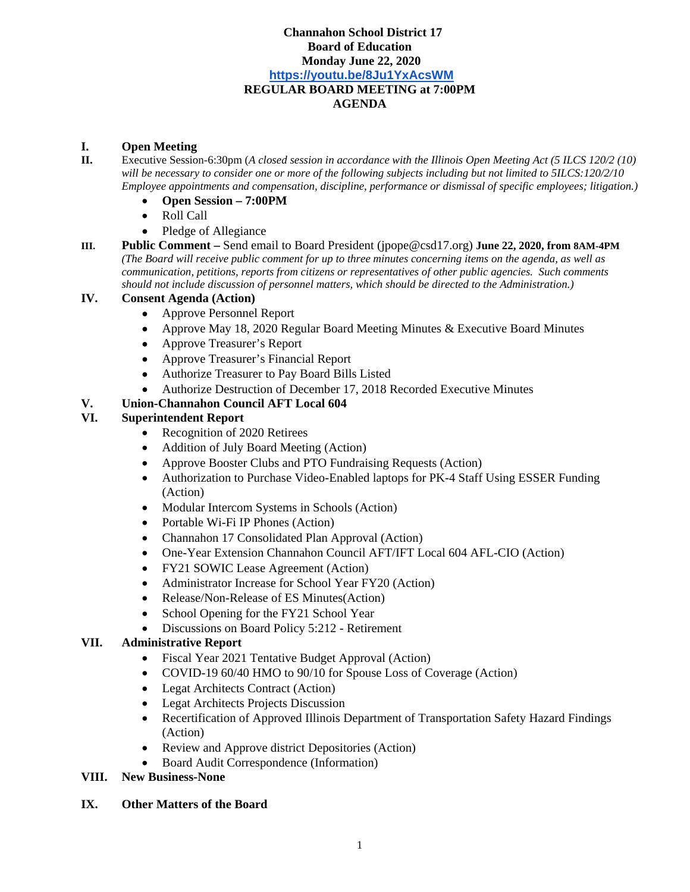### **Channahon School District 17 Board of Education Monday June 22, 2020 https://youtu.be/8Ju1YxAcsWM REGULAR BOARD MEETING at 7:00PM AGENDA**

#### **I. Open Meeting**

- **II.** Executive Session-6:30pm (*A closed session in accordance with the Illinois Open Meeting Act (5 ILCS 120/2 (10) will be necessary to consider one or more of the following subjects including but not limited to 5ILCS:120/2/10 Employee appointments and compensation, discipline, performance or dismissal of specific employees; litigation.)*
	- **Open Session 7:00PM**
	- Roll Call
	- Pledge of Allegiance
- **III. Public Comment** Send email to Board President (jpope@csd17.org) **June 22, 2020, from 8AM-4PM**  *(The Board will receive public comment for up to three minutes concerning items on the agenda, as well as communication, petitions, reports from citizens or representatives of other public agencies. Such comments should not include discussion of personnel matters, which should be directed to the Administration.)*

## **IV. Consent Agenda (Action)**

- Approve Personnel Report
- Approve May 18, 2020 Regular Board Meeting Minutes & Executive Board Minutes
- Approve Treasurer's Report
- Approve Treasurer's Financial Report
- Authorize Treasurer to Pay Board Bills Listed
- Authorize Destruction of December 17, 2018 Recorded Executive Minutes

## **V. Union-Channahon Council AFT Local 604**

### **VI. Superintendent Report**

- Recognition of 2020 Retirees
- Addition of July Board Meeting (Action)
- Approve Booster Clubs and PTO Fundraising Requests (Action)
- Authorization to Purchase Video-Enabled laptops for PK-4 Staff Using ESSER Funding (Action)
- Modular Intercom Systems in Schools (Action)
- Portable Wi-Fi IP Phones (Action)
- Channahon 17 Consolidated Plan Approval (Action)
- One-Year Extension Channahon Council AFT/IFT Local 604 AFL-CIO (Action)
- FY21 SOWIC Lease Agreement (Action)
- Administrator Increase for School Year FY20 (Action)
- Release/Non-Release of ES Minutes(Action)
- School Opening for the FY21 School Year
- Discussions on Board Policy 5:212 Retirement

#### **VII. Administrative Report**

- Fiscal Year 2021 Tentative Budget Approval (Action)
- COVID-19 60/40 HMO to 90/10 for Spouse Loss of Coverage (Action)
- Legat Architects Contract (Action)
- Legat Architects Projects Discussion
- Recertification of Approved Illinois Department of Transportation Safety Hazard Findings (Action)
- Review and Approve district Depositories (Action)
- Board Audit Correspondence (Information)

#### **VIII. New Business-None**

#### **IX. Other Matters of the Board**